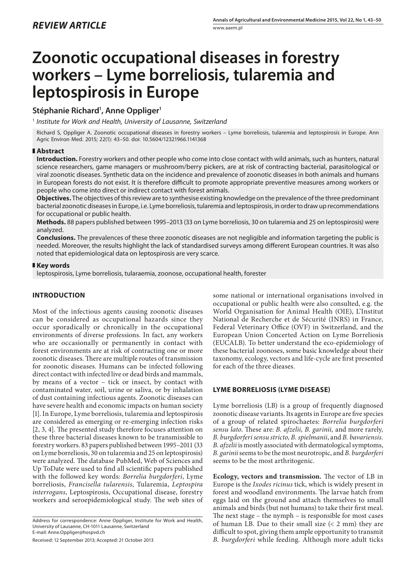# **Zoonotic occupational diseases in forestry workers – Lyme borreliosis, tularemia and leptospirosis in Europe**

## **Stéphanie Richard1 , Anne Oppliger1**

1  *Institute for Work and Health, University of Lausanne, Switzerland*

Richard S, Oppliger A. Zoonotic occupational diseases in forestry workers – Lyme borreliosis, tularemia and leptospirosis in Europe. Ann Agric Environ Med. 2015; 22(1): 43–50. doi: 10.5604/12321966.1141368

### **Abstract**

**Introduction.** Forestry workers and other people who come into close contact with wild animals, such as hunters, natural science researchers, game managers or mushroom/berry pickers, are at risk of contracting bacterial, parasitological or viral zoonotic diseases. Synthetic data on the incidence and prevalence of zoonotic diseases in both animals and humans in European forests do not exist. It is therefore difficult to promote appropriate preventive measures among workers or people who come into direct or indirect contact with forest animals.

**Objectives.** The objectives of this review are to synthesise existing knowledge on the prevalence of the three predominant bacterial zoonotic diseases in Europe, i.e. Lyme borreliosis, tularemia and leptospirosis, in order to draw up recommendations for occupational or public health.

**Methods.** 88 papers published between 1995–2013 (33 on Lyme borreliosis, 30 on tularemia and 25 on leptospirosis) were analyzed.

**Conclusions.** The prevalences of these three zoonotic diseases are not negligible and information targeting the public is needed. Moreover, the results highlight the lack of standardised surveys among different European countries. It was also noted that epidemiological data on leptospirosis are very scarce.

### **Key words**

leptospirosis, Lyme borreliosis, tularaemia, zoonose, occupational health, forester

## **INTRODUCTION**

Most of the infectious agents causing zoonotic diseases can be considered as occupational hazards since they occur sporadically or chronically in the occupational environments of diverse professions. In fact, any workers who are occasionally or permanently in contact with forest environments are at risk of contracting one or more zoonotic diseases. There are multiple routes of transmission for zoonotic diseases. Humans can be infected following direct contact with infected live or dead birds and mammals, by means of a vector – tick or insect, by contact with contaminated water, soil, urine or saliva, or by inhalation of dust containing infectious agents. Zoonotic diseases can have severe health and economic impacts on human society [1]. In Europe, Lyme borreliosis, tularemia and leptospirosis are considered as emerging or re-emerging infection risks [2, 3, 4]. The presented study therefore focuses attention on these three bacterial diseases known to be transmissible to forestry workers. 83 papers published between 1995–2011 (33 on Lyme borreliosis, 30 on tularemia and 25 on leptospirosis) were analyzed. The database PubMed, Web of Sciences and Up ToDate were used to find all scientific papers published with the followed key words: *Borrelia burgdorferi*, Lyme borreliosis, *Francisella tularensis*, Tularemia, *Leptospira interrogans*, Leptospirosis, Occupational disease, forestry workers and seroepidemiological study. The web sites of

Received: 12 September 2013; Accepted: 21 October 2013

some national or international organisations involved in occupational or public health were also consulted, e.g. the World Organisation for Animal Health (OIE), L'Institut National de Recherche et de Sécurité (INRS) in France, Federal Veterinary Office (OVF) in Switzerland, and the European Union Concerted Action on Lyme Borreliosis (EUCALB). To better understand the eco-epidemiology of these bacterial zoonoses, some basic knowledge about their taxonomy, ecology, vectors and life-cycle are first presented for each of the three dieases.

### **LYME BORRELIOSIS (LYME DISEASE)**

Lyme borreliosis (LB) is a group of frequently diagnosed zoonotic disease variants. Its agents in Europe are five species of a group of related spirochaetes: *Borrelia burgdorferi sensu lato*. These are: *B. afzelii, B. garinii,* and more rarely*, B. burgdorferi sensu stricto, B. spielmanii*, and *B. bavariensis. B. afzelii* is mostly associated with dermatological symptoms, *B. garinii* seems to be the most neurotropic, and *B. burgdorferi* seems to be the most arthritogenic.

**Ecology, vectors and transmission.** The vector of LB in Europe is the *Ixodes ricinus* tick, which is widely present in forest and woodland environments. The larvae hatch from eggs laid on the ground and attach themselves to small animals and birds (but not humans) to take their first meal. The next stage – the nymph – is responsible for most cases of human LB. Due to their small size  $(< 2$  mm) they are difficult to spot, giving them ample opportunity to transmit *B. burgdorferi* while feeding. Although more adult ticks

Address for correspondence: Anne Oppliger, Institute for Work and Health, University of Lausanne, CH-1011 Lausanne, Switzerland E-mail: Anne.Oppliger@hospvd.ch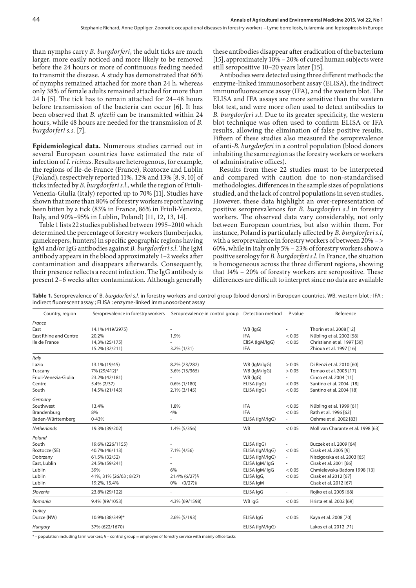than nymphs carry *B. burgdorferi*, the adult ticks are much larger, more easily noticed and more likely to be removed before the 24 hours or more of continuous feeding needed to transmit the disease. A study has demonstrated that 66% of nymphs remained attached for more than 24 h, whereas only 38% of female adults remained attached for more than 24 h [5]. The tick has to remain attached for 24–48 hours before transmission of the bacteria can occur [6]. It has been observed that *B. afzelii* can be transmitted within 24 hours, while 48 hours are needed for the transmission of *B. burgdorferi s.s*. [7].

**Epidemiological data.** Numerous studies carried out in several European countries have estimated the rate of infection of *I. ricinus*. Results are heterogenous, for example, the regions of Ile-de-France (France), Roztocze and Lublin (Poland), respectively reported 11%, 12% and 13% [8, 9, 10] of ticks infected by *B. burgdorferi s.l*., while the region of Friuli-Venezia-Giulia (Italy) reported up to 70% [11]. Studies have shown that more than 80% of forestry workers report having been bitten by a tick (83% in France, 86% in Friuli-Venezia, Italy, and 90%–95% in Lublin, Poland) [11, 12, 13, 14].

Table 1 lists 22 studies published between 1995–2010 which determined the percentage of forestry workers (lumberjacks, gamekeepers, hunters) in specific geographic regions having IgM and/or IgG antibodies against *B. burgdorferi s.l*. The IgM antibody appears in the blood approximately 1–2 weeks after contamination and disappears afterwards. Consequently, their presence reflects a recent infection. The IgG antibody is present 2–6 weeks after contamination. Although generally

these antibodies disappear after eradication of the bacterium [15], approximately  $10\%$  – 20% of cured human subjects were still seropositive 10–20 years later [15].

Antibodies were detected using three different methods: the enzyme-linked immunosorbent assay (ELISA), the indirect immunofluorescence assay (IFA), and the western blot. The ELISA and IFA assays are more sensitive than the western blot test, and were more often used to detect antibodies to *B. burgdorferi s.l*. Due to its greater specificity, the western blot technique was often used to confirm ELISA or IFA results, allowing the elimination of false positive results. Fifteen of these studies also measured the seroprevalence of anti*-B. burgdorferi* in a control population (blood donors inhabiting the same region as the forestry workers or workers of administrative offices).

Results from these 22 studies must to be interpreted and compared with caution due to non-standardised methodologies, differences in the sample sizes of populations studied, and the lack of control populations in seven studies. However, these data highlight an over-representation of positive seroprevalences for *B. burgdorferi s.l* in forestry workers. The observed data vary considerably, not only between European countries, but also within them. For instance, Poland is particularly affected by *B. burgdorferi s.l*, with a seroprevalence in forestry workers of between 20% – > 60%, while in Italy only 5% – 23% of forestry workers show a positive serology for *B. burgdorferi s.l*. In France, the situation is homogeneous across the three different regions, showing that 14% – 20% of forestry workers are seropositive. These differences are difficult to interpret since no data are available

**Table 1.** Seroprevalence of B. *burgdorferi s.l.* in forestry workers and control group (blood donors) in European countries. WB. western blot ; IFA : indirect fluorescent assay ; ELISA : enzyme-linked immunosorbent assay

| Country, region              | Seroprevalence in forestry workers | Seroprevalence in control group | Detection method | P value                  | Reference                          |
|------------------------------|------------------------------------|---------------------------------|------------------|--------------------------|------------------------------------|
| France                       |                                    |                                 |                  |                          |                                    |
| East                         | 14.1% (419/2975)                   |                                 | WB (IgG)         | $\overline{\phantom{a}}$ | Thorin et al. 2008 [12]            |
| <b>East Rhine and Centre</b> | 20.2%                              | 1.9%                            | <b>IFA</b>       | < 0.05                   | Nübling et al. 2002 [58]           |
| Ile de France                | 14,3% (25/175)                     |                                 | ElISA (IgM/IgG)  | < 0.05                   | Christiann et al. 1997 [59]        |
|                              | 15.2% (32/211)                     | $3.2\%$ (1/31)                  | <b>IFA</b>       |                          | Zhioua et al. 1997 [16]            |
| Italy                        |                                    |                                 |                  |                          |                                    |
| Lazio                        | 13.1% (19/45)                      | 8.2% (23/282)                   | WB (lgM/lgG)     | > 0.05                   | Di Renzi et al. 2010 [60]          |
| Tuscany                      | 7% (29/412)*                       | 3.6% (13/365)                   | WB (lgM/lgG)     | > 0.05                   | Tomao et al. 2005 [17]             |
| Friuli-Venezia-Giulia        | 23.2% (42/181)                     |                                 | WB (IgG)         |                          | Cinco et al. 2004 [11]             |
| Centre                       | $5.4\% (2/37)$                     | $0.6\%$ (1/180)                 | ELISA (IgG)      | < 0.05                   | Santino et al. 2004 [18]           |
| South                        | 14.5% (21/145)                     | $2.1\%$ (3/145)                 | ELISA (IgG)      | < 0.05                   | Santino et al. 2004 [18]           |
| Germany                      |                                    |                                 |                  |                          |                                    |
| Southwest                    | 13.4%                              | 1.8%                            | <b>IFA</b>       | < 0.05                   | Nübling et al. 1999 [61]           |
| Brandenburg                  | 8%                                 | 4%                              | <b>IFA</b>       | < 0.05                   | Rath et al. 1996 [62]              |
| Baden-Württemberg            | $0 - 43%$                          |                                 | ELISA (IgM/IgG)  | $\overline{\phantom{a}}$ | Oehme et al. 2002 [83]             |
| <b>Netherlands</b>           | 19.3% (39/202)                     | 1.4% (5/356)                    | <b>WB</b>        | < 0.05                   | Moll van Charante et al. 1998 [63] |
| Poland                       |                                    |                                 |                  |                          |                                    |
| South                        | 19.6% (226/1155)                   |                                 | ELISA (IgG)      | $\frac{1}{2}$            | Buczek et al. 2009 [64]            |
| Roztocze (SE)                | 40.7% (46/113)                     | 7.1% (4/56)                     | ELISA (IgM/IgG)  | < 0.05                   | Cisak et al. 2005 [9]              |
| Dobrzany                     | 61.5% (32/52)                      |                                 | ELISA (IgM/IgG)  | $\overline{\phantom{a}}$ | Niscigorska et al. 2003 [65]       |
| East, Lublin                 | 24.5% (59/241)                     |                                 | ELISA IgM/IgG    | $\overline{\phantom{a}}$ | Cisak et al. 2001 [66]             |
| Lublin                       | 39%                                | 6%                              | ELISA IgM/IgG    | < 0.05                   | Chmielewska-Badora 1998 [13]       |
| Lublin                       | 41%, 31% (26/63; 8/27)             | 21.4% (6/27) §                  | ELISA IgG,       | < 0.05                   | Cisak et al 2012 [67]              |
| Lublin                       | 19.2%, 15.4%                       | 0% (0/27)§                      | ELISA IgM        |                          | Cisak et al. 2012 [67]             |
| Slovenia                     | 23.8% (29/122)                     |                                 | ELISA IgG        | ۰                        | Rojko et al. 2005 [68]             |
| Romania                      | 9.4% (99/1053)                     | 4.3% (69/1598)                  | WB IqG           | < 0.05                   | Hrista et al. 2002 [69]            |
| Turkey                       |                                    |                                 |                  |                          |                                    |
| Duzce (NW)                   | 10.9% (38/349)*                    | $2.6\%$ (5/193)                 | ELISA IgG        | < 0.05                   | Kaya et al. 2008 [70]              |
| Hungary                      | 37% (622/1670)                     |                                 | ELISA (IgM/IgG)  | ä,                       | Lakos et al. 2012 [71]             |

\* – population including farm workers; § – control group = employee of forestry service with mainly office tasks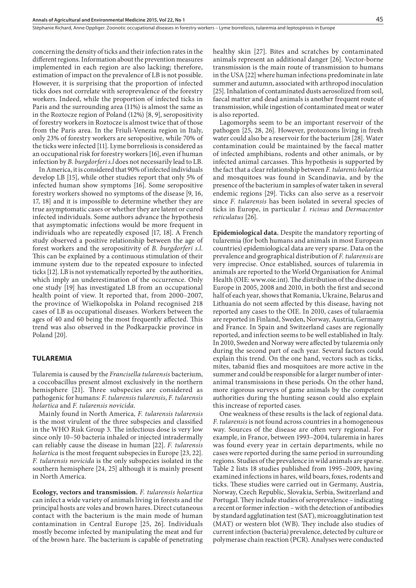concerning the density of ticks and their infection rates in the different regions. Information about the prevention measures implemented in each region are also lacking; therefore, estimation of impact on the prevalence of LB is not possible. However, it is surprising that the proportion of infected ticks does not correlate with seroprevalence of the forestry workers. Indeed, while the proportion of infected ticks in Paris and the surrounding area (11%) is almost the same as in the Roztocze region of Poland (12%) [8, 9], seropositivity of forestry workers in Roztocze is almost twice that of those from the Paris area. In the Friuli-Venezia region in Italy, only 23% of forestry workers are seropositive, while 70% of the ticks were infected [11]. Lyme borreliosis is considered as an occupational risk for forestry workers [16], even if human infection by *B. burgdorferi s.l* does not necessarily lead to LB.

In America, it is considered that 90% of infected individuals develop LB [15], while other studies report that only 5% of infected human show symptoms [16]. Some seropositive forestry workers showed no symptoms of the disease [9, 16, 17, 18] and it is impossible to determine whether they are true asymptomatic cases or whether they are latent or cured infected individuals. Some authors advance the hypothesis that asymptomatic infections would be more frequent in individuals who are repeatedly exposed [17, 18]. A French study observed a positive relationship between the age of forest workers and the seropositivity of *B. burgdorferi s.l*. This can be explained by a continuous stimulation of their immune system due to the repeated exposure to infected ticks [12]. LB is not systematically reported by the authorities, which imply an underestimation of the occurrence. Only one study [19] has investigated LB from an occupational health point of view. It reported that, from 2000–2007, the province of Wielkopolska in Poland recognised 218 cases of LB as occupational diseases. Workers between the ages of 40 and 60 being the most frequently affected. This trend was also observed in the Podkarpackie province in Poland [20].

#### **TULAREMIA**

Tularemia is caused by the *Francisella tularensis* bacterium, a coccobacillus present almost exclusively in the northern hemisphere [21]. Three subspecies are considered as pathogenic for humans: *F. tularensis tularensis*, *F. tularensis holartica* and *F. tularensis novicida*.

Mainly found in North America*, F. tularensis tularensis* is the most virulent of the three subspecies and classified in the WHO Risk Group 3. The infectious dose is very low since only 10–50 bacteria inhaled or injected intradermally can reliably cause the disease in human [22]. *F. tularensis holartica* is the most frequent subspecies in Europe [23, 22]. *F. tularensis novicida* is the only subspecies isolated in the southern hemisphere [24, 25] although it is mainly present in North America.

**Ecology, vectors and transmission.** *F. tularensis holartica* can infect a wide variety of animals living in forests and the principal hosts are voles and brown hares. Direct cutaneous contact with the bacterium is the main mode of human contamination in Central Europe [25, 26]. Individuals mostly become infected by manipulating the meat and fur of the brown hare. The bacterium is capable of penetrating

healthy skin [27]. Bites and scratches by contaminated animals represent an additional danger [26]. Vector-borne transmission is the main route of transmission to humans in the USA [22] where human infections predominate in late summer and autumn, associated with arthropod inoculation [25]. Inhalation of contaminated dusts aerosolized from soil, faecal matter and dead animals is another frequent route of transmission, while ingestion of contaminated meat or water is also reported.

Lagomorphs seem to be an important reservoir of the pathogen [25, 28, 26]. However, protozoons living in fresh water could also be a reservoir for the bacterium [28]. Water contamination could be maintained by the faecal matter of infected amphibians, rodents and other animals, or by infected animal carcasses. This hypothesis is supported by the fact that a clear relationship between *F. tularenis holartica* and mosquitoes was found in Scandinavia, and by the presence of the bacterium in samples of water taken in several endemic regions [29]. Ticks can also serve as a reservoir since *F. tularensis* has been isolated in several species of ticks in Europe, in particular *I. ricinus* and *Dermacentor reticulatus* [26].

**Epidemiological data.** Despite the mandatory reporting of tularemia (for both humans and animals in most European countries) epidemiological data are very sparse. Data on the prevalence and geographical distribution of *F. tularensis* are very imprecise. Once established, sources of tularemia in animals are reported to the World Organisation for Animal Health (OIE: www.oie.int). The distribution of the disease in Europe in 2005, 2008 and 2010, in both the first and second half of each year, shows that Romania, Ukraine, Belarus and Lithuania do not seem affected by this disease, having not reported any cases to the OIE. In 2010, cases of tularaemia are reported in Finland, Sweden, Norway, Austria, Germany and France. In Spain and Switzerland cases are regionally reported, and infection seems to be well established in Italy. In 2010, Sweden and Norway were affected by tularemia only during the second part of each year. Several factors could explain this trend. On the one hand, vectors such as ticks, mites, tabanid flies and mosquitoes are more active in the summer and could be responsible for a larger number of interanimal transmissions in these periods. On the other hand, more rigorous surveys of game animals by the competent authorities during the hunting season could also explain this increase of reported cases.

One weakness of these results is the lack of regional data. *F. tularensis* is not found across countries in a homogeneous way. Sources of the disease are often very regional. For example, in France, between 1993–2004, tularemia in hares was found every year in certain departments, while no cases were reported during the same period in surrounding regions. Studies of the prevalence in wild animals are sparse. Table 2 lists 18 studies published from 1995–2009, having examined infections in hares, wild boars, foxes, rodents and ticks. These studies were carried out in Germany, Austria, Norway, Czech Republic, Slovakia, Serbia, Switzerland and Portugal. They include studies of seroprevalence – indicating a recent or former infection – with the detection of antibodies by standard agglutination test (SAT), microagglutination test (MAT) or western blot (WB). They include also studies of current infection (bacteria) prevalence, detected by culture or polymerase chain reaction (PCR). Analyses were conducted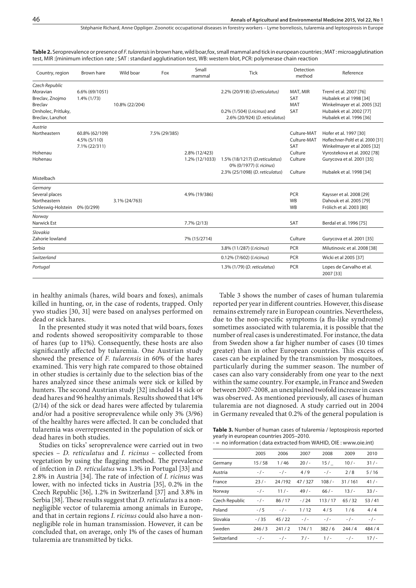Stéphanie Richard, Anne Oppliger . Zoonotic occupational diseases in forestry workers – Lyme borreliosis, tularemia and leptospirosis in Europe

| Table 2. Seroprevalence or presence of F. tularensis in brown hare, wild boar, fox, small mammal and tick in european countries; MAT: microagglutination |  |
|----------------------------------------------------------------------------------------------------------------------------------------------------------|--|
| test, MIR: [minimum infection rate; SAT: standard agglutination test, WB: western blot, PCR: polymerase chain reaction                                   |  |

| Country, region                                           | Brown hare                                      | Wild boar      | Fox           | Small<br>mammal | <b>Tick</b>                                                    | Detection<br>method                      | Reference                                                                                  |
|-----------------------------------------------------------|-------------------------------------------------|----------------|---------------|-----------------|----------------------------------------------------------------|------------------------------------------|--------------------------------------------------------------------------------------------|
| Czech Republic<br>Moravian<br>Breclav, Znojmo             | 6.6% (69/1051)<br>1.4% (1/73)                   |                |               |                 | 2.2% (20/918) (D.reticulatus)                                  | MAT, MIR<br>SAT                          | Treml et al. 2007 [76]<br>Hubalek et al 1998 [34]                                          |
| <b>Breclav</b><br>Drnholec, Pritluky,<br>Breclav, Lanzhot |                                                 | 10.8% (22/204) |               |                 | 0.2% (1/504) (l.ricinus) and<br>2.6% (20/924) (D. reticulatus) | <b>MAT</b><br>SAT                        | Winkelmayer et al. 2005 [32]<br>Hubalek et al. 2002 [77]<br>Hubalek et al. 1996 [36]       |
| Austria                                                   |                                                 |                |               |                 |                                                                |                                          |                                                                                            |
| Northeastern                                              | 60.8% (62/109)<br>4.5% (5/110)<br>7.1% (22/311) |                | 7.5% (29/385) |                 |                                                                | Culture-MAT<br>Culture-MAT<br><b>SAT</b> | Hofer et al. 1997 [30]<br>Hoflechner-Poltl et al. 2000 [31]<br>Winkelmayer et al 2005 [32] |
| Hohenau                                                   |                                                 |                |               | 2.8% (12/423)   |                                                                | Culture                                  | Vyrostekova et al. 2002 [78]                                                               |
| Hohenau                                                   |                                                 |                |               | 1.2% (12/1033)  | 1.5% (18/1217) (D.reticulatus)<br>0% (0/1977) (I. ricinus)     | Culture                                  | Gurycova et al. 2001 [35]                                                                  |
| Mistelbach                                                |                                                 |                |               |                 | 2.3% (25/1098) (D. reticulatus)                                | Culture                                  | Hubalek et al. 1998 [34]                                                                   |
| Germany                                                   |                                                 |                |               |                 |                                                                |                                          |                                                                                            |
| Several places                                            |                                                 |                |               | 4.9% (19/386)   |                                                                | PCR                                      | Kaysser et al. 2008 [29]                                                                   |
| Northeastern                                              |                                                 | 3.1% (24/763)  |               |                 |                                                                | <b>WB</b>                                | Dahouk et al. 2005 [79]                                                                    |
| Schleswig-Holstein                                        | 0% (0/299)                                      |                |               |                 |                                                                | <b>WB</b>                                | Frölich et al. 2003 [80]                                                                   |
| Norway<br>Narwick Est                                     |                                                 |                |               | $7.7\%$ (2/13)  |                                                                | SAT                                      | Berdal et al. 1996 [75]                                                                    |
| Slovakia                                                  |                                                 |                |               |                 |                                                                |                                          |                                                                                            |
| Zahorie lowland                                           |                                                 |                |               | 7% (15/2714)    |                                                                | Culture                                  | Gurycova et al. 2001 [35]                                                                  |
| Serbia                                                    |                                                 |                |               |                 | 3.8% (11/287) (l.ricinus)                                      | PCR                                      | Milutinovic et al. 2008 [38]                                                               |
| Switzerland                                               |                                                 |                |               |                 | 0.12% (7/602) ( <i>l.ricinus</i> )                             | <b>PCR</b>                               | Wicki et al 2005 [37]                                                                      |
| Portugal                                                  |                                                 |                |               |                 | 1.3% (1/79) (D. reticulatus)                                   | PCR                                      | Lopes de Carvalho et al.<br>2007 [33]                                                      |

in healthy animals (hares, wild boars and foxes), animals killed in hunting, or, in the case of rodents, trapped. Only ywo studies [30, 31] were based on analyses performed on dead or sick hares.

In the presented study it was noted that wild boars, foxes and rodents showed seropositivity comparable to those of hares (up to 11%). Consequently, these hosts are also significantly affected by tularemia. One Austrian study showed the presence of *F. tularensis* in 60% of the hares examined. This very high rate compared to those obtained in other studies is certainly due to the selection bias of the hares analyzed since these animals were sick or killed by hunters. The second Austrian study [32] included 14 sick or dead hares and 96 healthy animals. Results showed that 14% (2/14) of the sick or dead hares were affected by tularemia and/or had a positive seroprevalence while only 3% (3/96) of the healthy hares were affected. It can be concluded that tularemia was overrepresented in the population of sick or dead hares in both studies.

Studies on ticks' seroprevalence were carried out in two species – *D. reticulatus* and *I. ricinus* – collected from vegetation by using the flagging method. The prevalence of infection in *D. reticulatus* was 1.3% in Portugal [33] and 2.8% in Austria [34]. The rate of infection of *I. ricinus* was lower, with no infected ticks in Austria [35], 0.2% in the Czech Republic [36], 1.2% in Switzerland [37] and 3.8% in Serbia [38]. These results suggest that *D. reticulatus* is a nonnegligible vector of tularemia among animals in Europe, and that in certain regions *I. ricinus* could also have a nonnegligible role in human transmission. However, it can be concluded that, on average, only 1% of the cases of human tularemia are transmitted by ticks.

Table 3 shows the number of cases of human tularemia reported per year in different countries. However, this disease remains extremely rare in European countries. Nevertheless, due to the non-specific symptoms (a flu-like syndrome) sometimes associated with tularemia, it is possible that the number of real cases is underestimated. For instance, the data from Sweden show a far higher number of cases (10 times greater) than in other European countries. This excess of cases can be explained by the transmission by mosquitoes, particularly during the summer season. The number of cases can also vary considerably from one year to the next within the same country. For example, in France and Sweden between 2007–2008, an unexplained twofold increase in cases was observed. As mentioned previously, all cases of human tularemia are not diagnosed. A study carried out in 2004 in Germany revealed that 0.2% of the general population is

**Table 3.** Number of human cases of tularemia / leptospirosis reported yearly in european countries 2005–2010.

| - no information (data extracted from WAHID, OIE: www.oie.int) |  |  |  |
|----------------------------------------------------------------|--|--|--|
|----------------------------------------------------------------|--|--|--|

|                | 2005     | 2006      | 2007      | 2008      | 2009      | 2010      |
|----------------|----------|-----------|-----------|-----------|-----------|-----------|
| Germany        | 15/58    | 1/46      | 20/       | 15/       | $10/-$    | 31/       |
| Austria        | - / -    | $-$ / $-$ | 4/9       | $-/-$     | 2/8       | 5/16      |
| France         | 23/      | 24/192    | 47/327    | 108/      | 31/161    | 41/       |
| Norway         | $-/-$    | 11/       | 49/       | 66/       | 13/       | 33/       |
| Czech Republic | $-/-$    | 86/17     | $-124$    | 113/17    | 65/32     | 53/41     |
| Poland         | -15      | $-$ / $-$ | 1/12      | 4/5       | 1/6       | 4/4       |
| Slovakia       | $- / 35$ | 45/22     | $-$ / $-$ | $-$ / $-$ | $-$ / $-$ | $-$ / $-$ |
| Sweden         | 246/3    | 241/2     | 174/1     | 382/6     | 244/4     | 484/4     |
| Switzerland    | - / -    | $-$ / $-$ | $7/ -$    | $1/-$     | $-$ / $-$ | 17/       |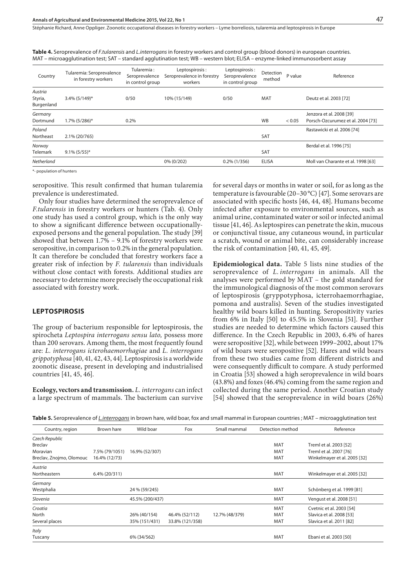Stéphanie Richard, Anne Oppliger . Zoonotic occupational diseases in forestry workers – Lyme borreliosis, tularemia and leptospirosis in Europe

| Country                          | Tularemia: Seroprevalence<br>in forestry workers | Tularemia:<br>Seroprevalence<br>in control group | Leptospirosis:<br>Seroprevalence in forestry<br>workers | Leptospirosis:<br>Seroprevalence<br>in control group | Detection<br>method | P value | Reference                                                     |
|----------------------------------|--------------------------------------------------|--------------------------------------------------|---------------------------------------------------------|------------------------------------------------------|---------------------|---------|---------------------------------------------------------------|
| Austria<br>Styria,<br>Burgenland | 3.4% (5/149)*                                    | 0/50                                             | 10% (15/149)                                            | 0/50                                                 | <b>MAT</b>          |         | Deutz et al. 2003 [72]                                        |
| Germany<br>Dortmund              | 1.7% (5/286)*                                    | 0.2%                                             |                                                         |                                                      | <b>WB</b>           | < 0.05  | Jenzora et al. 2008 [39]<br>Porsch-Ozcurumez et al. 2004 [73] |
| Poland<br>Northeast              | 2.1% (20/765)                                    |                                                  |                                                         |                                                      | <b>SAT</b>          |         | Rastawicki et al. 2006 [74]                                   |
| Norway<br><b>Telemark</b>        | $9.1\%$ (5/55)*                                  |                                                  |                                                         |                                                      | <b>SAT</b>          |         | Berdal et al. 1996 [75]                                       |
| Netherland                       |                                                  |                                                  | 0% (0/202)                                              | $0.2\%$ (1/356)                                      | <b>ELISA</b>        |         | Moll van Charante et al. 1998 [63]                            |
|                                  |                                                  |                                                  |                                                         |                                                      |                     |         |                                                               |

**Table 4.** Seroprevalence of *F.tularensis* and *L.interrogans* in forestry workers and control group (blood donors) in european countries. MAT – microagglutination test; SAT – standard agglutination test; WB – western blot; ELISA – enzyme-linked immunosorbent assay

\*- population of hunters

seropositive. This result confirmed that human tularemia prevalence is underestimated.

Only four studies have determined the seroprevalence of *F.tularensis* in forestry workers or hunters (Tab. 4). Only one study has used a control group, which is the only way to show a significant difference between occupationallyexposed persons and the general population. The study [39] showed that between 1.7% – 9.1% of forestry workers were seropositive, in comparison to 0.2% in the general population. It can therefore be concluded that forestry workers face a greater risk of infection by *F. tularensis* than individuals without close contact with forests. Additional studies are necessary to determine more precisely the occupational risk associated with forestry work.

#### **LEPTOSPIROSIS**

The group of bacterium responsible for leptospirosis, the spirocheta *Leptospira interrogans sensu lato,* possess more than 200 serovars. Among them, the most frequently found are: *L. interrogans icterohaemorrhagiae* and *L. interrogans grippotyphosa* [40, 41, 42, 43, 44]. Leptospirosis is a worldwide zoonotic disease, present in developing and industrialised countries [41, 45, 46].

**Ecology, vectors and transmission.** *L. interrogans* can infect a large spectrum of mammals. The bacterium can survive

for several days or months in water or soil, for as long as the temperature is favourable (20–30 °C) [47]. Some serovars are associated with specific hosts [46, 44, 48]. Humans become infected after exposure to environmental sources, such as animal urine, contaminated water or soil or infected animal tissue [41, 46]. As leptospires can penetrate the skin, mucous or conjunctival tissue, any cutaneous wound, in particular a scratch, wound or animal bite, can considerably increase the risk of contamination [40, 41, 45, 49].

**Epidemiological data.** Table 5 lists nine studies of the seroprevalence of *L. interrogans* in animals. All the analyses were performed by MAT – the gold standard for the immunological diagnosis of the most common serovars of leptospirosis (gryppotyphosa, icterrohaemorrhagiae, pomona and australis). Seven of the studies investigated healthy wild boars killed in hunting. Seropositivity varies from 6% in Italy [50] to 45.5% in Slovenia [51]. Further studies are needed to determine which factors caused this difference. In the Czech Republic in 2003, 6.4% of hares were seropositive [32], while between 1999–2002, about 17% of wild boars were seropositive [52]. Hares and wild boars from these two studies came from different districts and were consequently difficult to compare. A study performed in Croatia [53] showed a high seroprevalence in wild boars (43.8%) and foxes (46.4%) coming from the same region and collected during the same period. Another Croatian study [54] showed that the seroprevalence in wild boars (26%)

|  |  |  |  | <b>Table 5.</b> Seroprevalence of L.interrogans in brown hare, wild boar, fox and small mammal in European countries ; MAT – microagglutination test |
|--|--|--|--|------------------------------------------------------------------------------------------------------------------------------------------------------|
|  |  |  |  |                                                                                                                                                      |

| Country, region          | Brown hare     | Wild boar       | Fox             | Small mammal   | Detection method | Reference                    |
|--------------------------|----------------|-----------------|-----------------|----------------|------------------|------------------------------|
| Czech Republic           |                |                 |                 |                |                  |                              |
| <b>Breclav</b>           |                |                 |                 |                | <b>MAT</b>       | Treml et al. 2003 [52]       |
| Moravian                 | 7.5% (79/1051) | 16.9% (52/307)  |                 |                | <b>MAT</b>       | Treml et al. 2007 [76]       |
| Breclav, Znojmo, Olomouc | 16.4% (12/73)  |                 |                 |                | <b>MAT</b>       | Winkelmayer et al. 2005 [32] |
| Austria                  |                |                 |                 |                |                  |                              |
| Northeastern             | 6.4% (20/311)  |                 |                 |                | <b>MAT</b>       | Winkelmayer et al. 2005 [32] |
| Germany                  |                |                 |                 |                |                  |                              |
| Westphalia               |                | 24 % (59/245)   |                 |                | <b>MAT</b>       | Schönberg et al. 1999 [81]   |
| Slovenia                 |                | 45.5% (200/437) |                 |                | <b>MAT</b>       | Vengust et al. 2008 [51]     |
| Croatia                  |                |                 |                 |                | <b>MAT</b>       | Cvetnic et al. 2003 [54]     |
| North                    |                | 26% (40/154)    | 46.4% (52/112)  | 12.7% (48/379) | <b>MAT</b>       | Slavica et al. 2008 [53]     |
| Several places           |                | 35% (151/431)   | 33.8% (121/358) |                | <b>MAT</b>       | Slavica et al. 2011 [82]     |
| Italy                    |                |                 |                 |                |                  |                              |
| Tuscany                  |                | 6% (34/562)     |                 |                | MAT              | Ebani et al. 2003 [50]       |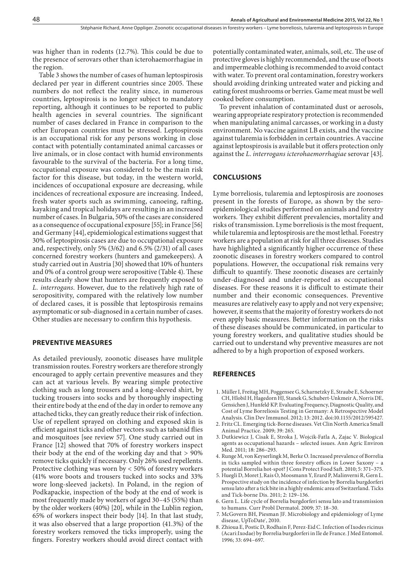was higher than in rodents (12.7%). This could be due to the presence of serovars other than icterohaemorrhagiae in the region.

Table 3 shows the number of cases of human leptospirosis declared per year in different countries since 2005. These numbers do not reflect the reality since, in numerous countries, leptospirosis is no longer subject to mandatory reporting, although it continues to be reported to public health agencies in several countries. The significant number of cases declared in France in comparison to the other European countries must be stressed. Leptospirosis is an occupational risk for any persons working in close contact with potentially contaminated animal carcasses or live animals, or in close contact with humid environments favourable to the survival of the bacteria. For a long time, occupational exposure was considered to be the main risk factor for this disease, but today, in the western world, incidences of occupational exposure are decreasing, while incidences of recreational exposure are increasing. Indeed, fresh water sports such as swimming, canoeing, rafting, kayaking and tropical holidays are resulting in an increased number of cases. In Bulgaria, 50% of the cases are considered as a consequence of occupational exposure [55]; in France [56] and Germany [44], epidemiological estimations suggest that 30% of leptospirosis cases are due to occupational exposure and, respectively, only 5% (3/62) and 6.5% (2/31) of all cases concerned forestry workers (hunters and gamekeepers). A study carried out in Austria [30] showed that 10% of hunters and 0% of a control group were seropositive (Table 4). These results clearly show that hunters are frequently exposed to *L. interrogans*. However, due to the relatively high rate of seropositivity, compared with the relatively low number of declared cases, it is possible that leptospirosis remains asymptomatic or sub-diagnosed in a certain number of cases. Other studies are necessary to confirm this hypothesis.

#### **PREVENTIVE MEASURES**

As detailed previously, zoonotic diseases have mulitple transmission routes. Forestry workers are therefore strongly encouraged to apply certain preventive measures and they can act at various levels. By wearing simple protective clothing such as long trousers and a long-sleeved shirt, by tucking trousers into socks and by thoroughly inspecting their entire body at the end of the day in order to remove any attached ticks, they can greatly reduce their risk of infection. Use of repellent sprayed on clothing and exposed skin is efficient against ticks and other vectors such as tabanid flies and mosquitoes [see review 57]. One study carried out in France [12] showed that 70% of forestry workers inspect their body at the end of the working day and that > 90% remove ticks quickly if necessary. Only 26% used repellents. Protective clothing was worn by < 50% of forestry workers (41% wore boots and trousers tucked into socks and 33% wore long-sleeved jackets). In Poland, in the region of Podkapackie, inspection of the body at the end of work is most frequently made by workers of aged 30–45 (55%) than by the older workers (40%) [20], while in the Lublin region, 65% of workers inspect their body [14]. In that last study, it was also observed that a large proportion (41.3%) of the forestry workers removed the ticks improperly, using the fingers. Forestry workers should avoid direct contact with

potentially contaminated water, animals, soil, etc. The use of protective gloves is highly recommended, and the use of boots and impermeable clothing is recommended to avoid contact with water. To prevent oral contamination, forestry workers should avoiding drinking untreated water and picking and eating forest mushrooms or berries. Game meat must be well cooked before consumption.

To prevent inhalation of contaminated dust or aerosols, wearing appropriate respiratory protection is recommended when manipulating animal carcasses, or working in a dusty environment. No vaccine against LB exists, and the vaccine against tularemia is forbidden in certain countries. A vaccine against leptospirosis is available but it offers protection only against the *L. interrogans icterohaemorrhagiae* serovar [43].

#### **CONCLUSIONS**

Lyme borreliosis, tularemia and leptospirosis are zoonoses present in the forests of Europe, as shown by the seroepidemiological studies performed on animals and forestry workers. They exhibit different prevalencies, mortality and risks of transmission. Lyme borreliosis is the most frequent, while tularemia and leptospirosis are the most lethal. Forestry workers are a population at risk for all three diseases. Studies have highlighted a significantly higher occurrence of these zoonotic diseases in forestry workers compared to control populations. However, the occupational risk remains very difficult to quantify. These zoonotic diseases are certainly under-diagnosed and under-reported as occupational diseases. For these reasons it is difficult to estimate their number and their economic consequences. Preventive measures are relatively easy to apply and not very expensive; however, it seems that the majority of forestry workers do not even apply basic measures. Better information on the risks of these diseases should be communicated, in particular to young forestry workers, and qualitative studies should be carried out to understand why preventive measures are not adhered to by a high proportion of exposed workers.

#### **REFERENCES**

- 1. [Müller](http://www.ncbi.nlm.nih.gov/pubmed/?term=M%26%23x000fc%3Bller I%5Bauth%5D) I, [Freitag](http://www.ncbi.nlm.nih.gov/pubmed/?term=Freitag MH%5Bauth%5D) MH, [Poggensee](http://www.ncbi.nlm.nih.gov/pubmed/?term=Poggensee G%5Bauth%5D) G, [Scharnetzky](http://www.ncbi.nlm.nih.gov/pubmed/?term=Scharnetzky E%5Bauth%5D) E, [Straube](http://www.ncbi.nlm.nih.gov/pubmed/?term=Straube E%5Bauth%5D) E, [Schoerner](http://www.ncbi.nlm.nih.gov/pubmed/?term=Schoerner C%5Bauth%5D) CH, [Hlobil](http://www.ncbi.nlm.nih.gov/pubmed/?term=Hlobil H%5Bauth%5D) H, [Hagedorn](http://www.ncbi.nlm.nih.gov/pubmed/?term=Hagedorn HJ%5Bauth%5D) HJ, [Stanek](http://www.ncbi.nlm.nih.gov/pubmed/?term=Stanek G%5Bauth%5D) G, [Schubert-Unkmeir](http://www.ncbi.nlm.nih.gov/pubmed/?term=Schubert-Unkmeir A%5Bauth%5D) A, [Norris](http://www.ncbi.nlm.nih.gov/pubmed/?term=Norris DE%5Bauth%5D) DE, [Gensichen](http://www.ncbi.nlm.nih.gov/pubmed/?term=Gensichen J%5Bauth%5D) J, [Hunfeld](http://www.ncbi.nlm.nih.gov/pubmed/?term=Hunfeld KP%5Bauth%5D), KP. Evaluating Frequency, Diagnostic Quality, and Cost of Lyme Borreliosis Testing in Germany: A Retrospective Model Analysis. Clin Dev Immunol. 2012; 13: 2012. doi:10.1155/2012/595427.
- 2. Fritz CL. Emerging tick-Borne diseases. Vet Clin North America Small Animal Practice. 2009; 39: 265.
- 3. Dutkiewicz J, [Cisak E, S](http://apps.webofknowledge.com/OneClickSearch.do?product=UA&search_mode=OneClickSearch&excludeEventConfig=ExcludeIfFromFullRecPage&colName=WOS&SID=X1cunCcSJtr4LETC9XL&field=AU&value=Cisak, E)troka J, Wojcik-Fatla A, [Zajac V. B](http://apps.webofknowledge.com/OneClickSearch.do?product=UA&search_mode=OneClickSearch&excludeEventConfig=ExcludeIfFromFullRecPage&colName=WOS&SID=X1cunCcSJtr4LETC9XL&field=AU&value=Zajac, V)iological agents as occupational hazards – selected issues. Ann Agric Environ Med. 2011; 18: 286–293.
- 4. [Runge M,](http://apps.webofknowledge.com/OneClickSearch.do?product=UA&search_mode=OneClickSearch&excludeEventConfig=ExcludeIfFromFullRecPage&colName=WOS&SID=X1cunCcSJtr4LETC9XL&field=AU&value=Runge, M) [von Keyserlingk M](http://apps.webofknowledge.com/OneClickSearch.do?product=UA&search_mode=OneClickSearch&colName=WOS&SID=X1cunCcSJtr4LETC9XL&field=AU&value=von Keyserlingk, M&ut=9650591&pos=%7b2%7d&excludeEventConfig=ExcludeIfFromFullRecPage), [Berke O.](http://apps.webofknowledge.com/OneClickSearch.do?product=UA&search_mode=OneClickSearch&colName=WOS&SID=X1cunCcSJtr4LETC9XL&field=AU&value=Berke, O&ut=16090884&pos=%7b2%7d&excludeEventConfig=ExcludeIfFromFullRecPage) Increased prevalence of Borrelia in ticks sampled within three forestry offices in Lower Saxony – a potential Borrelia hot-spot? J Cons Protect Food Saft. 2010; 5: 371–375.
- 5. Huegli D, Moret J, Rais O, Moosmann Y, Erard P, Malinverni R, Gern L. Prospective study on the incidence of infection by Borrelia burgdorferi sensu lato after a tick bite in a highly endemic area of Switzerland. Ticks and Tick-borne Dis. 2011; 2: 129–136.
- 6. Gern L. Life cycle of Borrelia burgdorferi sensu lato and transmission to humans. Curr Probl Dermatol. 2009; 37: 18–30.
- 7. McGovern BH, Piesman JF. Microbiology and epidemiology of Lyme disease, UpToDate<sup>®</sup>, 2010.
- 8. Zhioua E, Postic D, Rodhain F, Perez-Eid C. Infection of Ixodes ricinus (Acari:Ixodae) by Borrelia burgdorferi in Ile de France. J Med Entomol. 1996; 33: 694–697.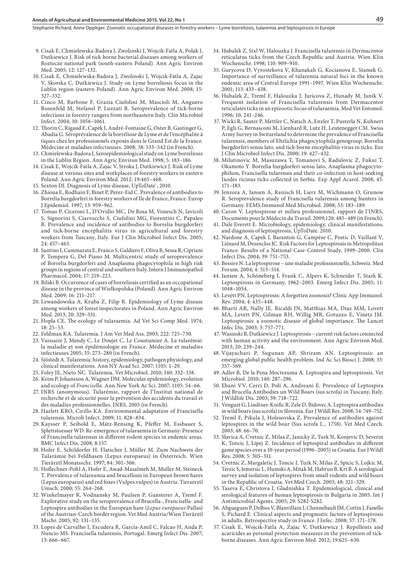#### **Annals of Agricultural and Environmental Medicine 2015, Vol 22, No 1**

- 9. Cisak E, Chmielewska-Badora J, Zwolinski J, Wojcik-Fatla A, Polak J, Dutkiewicz J. Risk of tick-borne bacterial diseases among workers of Roztocze national park (south-eastern Poland). Ann Agric Environ Med. 2005; 12: 127–132.
- 10. Cisak E, Chmielewska-Badora J, Zwolinski J, Wojcik-Fatla A, Zajac V, Skorska C, Dutkiewicz J. Study on Lyme borreliosis focus in the Lublin region (eastern Poland). Ann Agric Environ Med. 2008; 15: 327–332.
- 11. Cinco M, Barbone F, Grazia Ciufolini M, Mascioli M, Anguero Rosenfeld M, Stefanel P, Luzzati R. Seroprevalence of tick-borne infections in forestry rangers from northeastern Italy. Clin Microbiol Infect. 2004; 10: 1056–1061.
- 12. Thorin C, Rigaud E, Capek I, André-Fontaine G, Oster B, Gastinger G, Abadia G. Séroprévalence de la borréliose de Lyme et de l'encéphalite à tiques chez les professionnels exposés dans le Grand Est de la France. Médecine et maladies infectieuses. 2008; 38: 533–542 (in French).
- 13. Chmielewska-Badora J, Seroepidemiological study on Lyme borreliosis in the Lublin Region. Ann Agric Environ Med. 1998; 5: 183–186.
- 14. [Cisak E, W](http://apps.webofknowledge.com/OneClickSearch.do?product=UA&search_mode=OneClickSearch&excludeEventConfig=ExcludeIfFromFullRecPage&colName=WOS&SID=X1cunCcSJtr4LETC9XL&field=AU&value=Cisak, E)ojcik-Fatla A, [Zajac V,](http://apps.webofknowledge.com/OneClickSearch.do?product=UA&search_mode=OneClickSearch&excludeEventConfig=ExcludeIfFromFullRecPage&colName=WOS&SID=X1cunCcSJtr4LETC9XL&field=AU&value=Zajac, V) Stroka J, Dutkiewicz J. Risk of Lyme disease at various sites and workplaces of forestry workers in eastern Poland. Ann Agric Environ Med. 2012; 19:465–468.
- 15. Sexton DJ. Diagnosis of Lyme disease, UpToDate<sup>\*</sup>, 2010.
- 16. Zhioua E, Rodhain F, Binet P, Perez-Eid C. Prevalence of antibodies to Borrelia burgdorferi in forestry workers of Ile de France, France. Europ J Epidemiol. 1997; 13: 959–962.
- 17. Tomao P, Ciceroni L, D'Ovidio MC, De Rosa M, Vonesch N, Iavicoli S, Signorini S, Ciarrocchi S, Ciufolini MG, Fiorentini C, Papaleo B. Prevalence and incidence of antibodies to Borrelia burgdorferi and tick-borne encephalitis virus in agricultural and forestry workers from Tuscany, Italy. Eur J Clin Microbiol Infect Dis. 2005;  $24 \cdot 457 - 463$
- 18. Santino I, Cammarata E, Franco S, Galdiero F, Oliva B, Sessa R, Cipriani P, Tempera G, Del Piano M. Multicentric study of seroprevalence of Borrelia burgdorferi and Anaplasma phagocytophila in high risk groups in regions of central and southern Italy. Intern J Immunopathol Pharmacol. 2004; 17: 219–223.
- 19. Bilski B. Occurrence of cases of borreliosis certified as an occupational disease in the province of Wielkopolska (Poland). Ann Agric Environ Med. 2009; 16: 211–217.
- 20. Lewandowska A, Kruba Z, Filip R. Epidemiology of Lyme disease among workers of forest inspectorates in Poland. Ann Agric Environ Med. 2013; 20: 329–331.
- 21. Hopla CE. The ecology of tularaemia. Ad Vet Sci Comp Med. 1974; 18: 25–53.
- 22. Feldman KA. Tularemia. J Am Vet Med Ass. 2003; 222: 725–730.
- 23. Vaissaire J, Mendy C, Le Doujet C, Le Coustumier A. La tularémie: la maladie et son épidémiologie en France. Médecine et maladies infectieuses 2005; 35: 273–280 (in French).
- 24. Sjöstedt A. Tularemia: history, epidemiology, pathogen physiology, and clinical manifestations. Ann NY Acad Sci. 2007; 1105: 1–29.
- 25. Foley JE, Nieto NC. Tularemia. Vet Microbiol. 2010; 140: 332–338.
- 26. Keim P, Johansson A, Wagner DM. Molecular epidemiology, evolution and ecology of *Francisella*. Ann New York Ac Sci. 2007; 1105: 54–66.
- 27. INRS (anonymous). Tularémie, rapport de l'Institut national de recherche et de sécurité pour la prévention des accidents du travail et des maladies professionnelles. INRS, 2005 (in French).
- 28. Hazlett KRO, Cirillo KA. Environmental adaptation of Francisella tularensis. Microb Infect. 2009; 11: 828–834.
- 29. Kaysser P, Seibold E, Mätz-Rensing K, Pfeffer M, Essbauer S, Splettstoesser WD. Re-emergence of tularaemia in Germany: Presence of Francisella tularensis in different rodent species in endemic areas. BMC Infect Dis. 2008; 8:157.
- 30. Hofer E, Schildorfer H, Flatscher J, Müller M. Zum Nachweis der Tularämie bei Feldhasen (Lepus europaeus) in Österreich. Wien Tierärztl Monatsschr. 1997; 84: 301–306.
- 31. Hoflechner-Poltl A, Hofer E, Awad-Masalmeh M, Muller M, Steineck T. Prevalence of tulareamia and brucellosis in European brown hares (Lepus europaeus) and red foxes (Vulpes vulpes) in Austria. Tieraerztl Umsch. 2000; 55: 264–268.
- 32. Winkelmayer R, Vodnansky M, Paulsen P, Gansterer A, Treml F. Explorative study on the seroprevalence of Brucella-, Francisella- and Leptospira antibodies in the European hare (*Lepus europaeus* Pallas) of the Austrian-Czech border region. Vet Med Austria/Wien Tierärztl Mschr. 2005; 92: 131–135.
- 33. Lopes de Carvalho I, Escudera R, Garcia-Amil C, Falcao H, Anda P, Nuncio MS. Francisella tularensis, Portugal. Emerg Infect Dis. 2007; 13: 666–667.
- 34. Hubalek Z, Sixl W, Halouzka J. Francisella tularensis in Dermacentor reticulatus ticks from the Czech Republic and Austria. Wien Klin Wochenschr. 1998; 110: 909–910.
- 35. Gurycova D, Vyrostekova V, Khanakah G, Kocianova E, Stamek G. Importance of surveillance of tularemia natural foci in the known endemic area of Central Europe 1991–1997. Wien Klin Wochenschr. 2001; 113: 433–438.
- 36. Hubalek Z, Treml F, Halouzka J, Juricova Z, Hunady M, Janik V. Frequent isolation of Francisella tularensis from Dermacentor reticulates ticks in an epizootic focus of tularaemia. Med Vet Entomol. 1996; 10: 241–246.
- 37. Wicki R, Sauter P, Mettler C, Natsch A, Enzler T, Pusterla N, Kuhnert P, Egli G, Bernasconi M, Lienhard R, Lutz H, Leutenegger CM. Swiss Army Survey in Switzerland to determine the prevalence of Francisella tularensis, members of Ehrlichia phagocytophila genogroup, Borrelia burgdorferi sensu lato, and tick-borne encephalitis virus in ticks. Eur J Clin Microbiol Infect Dis. 2000; 19: 427–432.
- 38. Milutinovic M, Masuzawa T, Tomanovi S, Radulovic Z, Fukui T, Okamoto Y. Borrelia burgdorferi sensu lato, Anaplasma phagocytophilum, Francisella tularensis and their co-infection in host-seeking Ixodes ricinus ticks collected in Serbia. Exp Appl Acarol. 2008; 45: 171–183.
- 39. Jenzora A, Jansen A, Ranisch H, Lierz M, Wichmann O, Grunow R. Seroprevalence study of Francisella tularensis among hunters in Germany. FEMS Immunol Med Microbiol. 2008; 53: 183–189.
- 40. Caron V. Leptospirose et milieu professionnel, rapport de l'INRS, Documents pour le Médecin du Travail. 2009;120: 485–489 (in French).
- 41. Dale Everett E. Microbiology, epidemiology, clinical manifestations, and diagnosis of leptospirosis, UpToDate. 2010.
- 42. Nardone A, Capek I, Baranton G, Campèse C, Postic D, Vaillant V, Liénard M, Desenclos JC. Risk Factors for Leptospirosis in Metropolitan France: Results of a National Case-Control Study, 1999–2000. Clin Infect Dis. 2004; 39: 751–753.
- 43. Bessire N. La leptospirose une maladie professionnelle, Schweiz. Med Forum. 2004; 4: 513–514.
- 44. Jansen A, Schöneberg I, Frank C, Alpers K, Schneider T, Stark K. Leptospirosis in Germany, 1962–2003. Emerg Infect Dis. 2005; 11: 1048–1054.
- 45. Levett PN. Leptospirosis: A forgotten zoonosis? Clinic App Immunol. Rev. 2004; 4: 435–448.
- 46. Bharti AR, Nally JE, Ricaldi JN, Matthias MA, Diaz MM, Lovett MA, Levett PN, Gilman RH, Willig MR, Gotuzzo E, Vinetz JM. Leptospirosis: a zoonotic disease of global importance. The Lancet Infec Dis. 2003; 3: 757–771.
- 47. Wasinski B, Dutkiewicz J. Leptospirosis current risk factors connected with human activity and the environment. Ann Agric Environ Med. 2013; 20: 239–244.
- 48. Vijayachari P, Sugunan AP, Shriram AN. Leptospirosis: an emerging global public health problem. Ind Ac Sci Biosci J. 2008; 33: 557–569.
- 49. Adler B, De la Pena Moctezuma A. Leptospira and leptospirosis. Vet Microbiol. 2010; 140: 287–296.
- 50. Ebani VV, Cerri D, Poli A, Andreani E. Prevalence of Leptospira and Brucella Antibodies un Wild Boars (sus scrofa) in Tuscany, Italy. J Wildlife Dis. 2003; 39: 718–722.
- 51. Vengust G, Lindtner-Knific R, Zele D, Bidovec A. Leptospira antibodies in wild boars (sus scrofa) in Slovenia. Eur J Wildl Res. 2008; 54: 749–752.
- 52. Treml F, Pikula J, Holesovska Z. Prevalence of antibodies against leptospires in the wild boar (Sus scrofa L., 1758). Vet Med Czech. 2003; 48: 66–70.
- 53. Slavica A, Cvetnic Z, Milas Z, Janicky Z, Turk N, Konjevic D, Severin K, Toncic J, Lipej Z. Incidence of leptospiral antibodies in different game species over a 10-year period (1996–2005) in Croatia. Eur J Wildl Res. 2008; 5: 305–311.
- 54. Cvetnic Z, Margaletic J, Toncic J, Turk N, Milas Z, Spicic S, Lojkic M, Terzic S, Jemersic L, Humski A, Mitak M, Habrun B, Krt B. A serological survey and isolation of leptospires from small rodents and wild boars in the Republic of Croatia. Vet Med Czech. 2003; 48: 321–329.
- 55. Taseva E, Christova I, Gladnishka T. Epidemiological, clinical and serological features of human leptospirosis in Bulgaria in 2005. Int J Antimicrobial Agents. 2005; 29: S282-S282.
- 56. Abgueguen P, Delbos V, Blanvillain J, Chennebault JM, Cottin J, Fanello S, Pichard E. Clinical aspects and prognostic factors of leptospirosis in adults. Retrospective study in France. J Infec. 2008; 57: 171–178.
- 57. [Cisak E,](http://apps.webofknowledge.com/OneClickSearch.do?product=UA&search_mode=OneClickSearch&excludeEventConfig=ExcludeIfFromFullRecPage&colName=WOS&SID=X1cunCcSJtr4LETC9XL&field=AU&value=Cisak, E) [Wojcik-Fatla A,](http://apps.webofknowledge.com/OneClickSearch.do?product=UA&search_mode=OneClickSearch&excludeEventConfig=ExcludeIfFromFullRecPage&colName=WOS&SID=X1cunCcSJtr4LETC9XL&field=AU&value=Wojcik-Fatla, A) [Zajac V,](http://apps.webofknowledge.com/OneClickSearch.do?product=UA&search_mode=OneClickSearch&excludeEventConfig=ExcludeIfFromFullRecPage&colName=WOS&SID=X1cunCcSJtr4LETC9XL&field=AU&value=Zajac, V) Dutkiewicz J. Repellents and acaricides as personal protection measures in the prevention of tickborne diseases. Ann Agric Environ Med. 2012; 19:625–630.